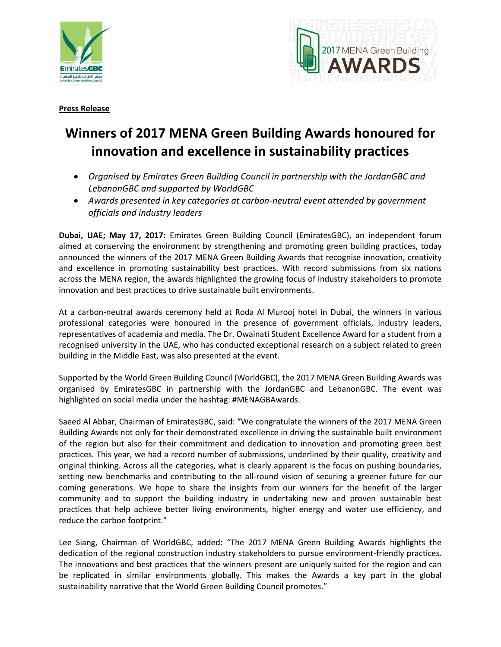



## **Winners of 2017 MENA Green Building Awards honoured for innovation and excellence in sustainability practices**

- *Organised by Emirates Green Building Council in partnership with the JordanGBC and LebanonGBC and supported by WorldGBC*
- *Awards presented in key categories at carbon-neutral event attended by government officials and industry leaders*

**Dubai, UAE; May 17, 2017:** Emirates Green Building Council (EmiratesGBC), an independent forum aimed at conserving the environment by strengthening and promoting green building practices, today announced the winners of the 2017 MENA Green Building Awards that recognise innovation, creativity and excellence in promoting sustainability best practices. With record submissions from six nations across the MENA region, the awards highlighted the growing focus of industry stakeholders to promote innovation and best practices to drive sustainable built environments.

At a carbon-neutral awards ceremony held at Roda Al Murooj hotel in Dubai, the winners in various professional categories were honoured in the presence of government officials, industry leaders, representatives of academia and media. The Dr. Owainati Student Excellence Award for a student from a recognised university in the UAE, who has conducted exceptional research on a subject related to green building in the Middle East, was also presented at the event.

Supported by the World Green Building Council (WorldGBC), the 2017 MENA Green Building Awards was organised by EmiratesGBC in partnership with the JordanGBC and LebanonGBC. The event was highlighted on social media under the hashtag: #MENAGBAwards.

Saeed Al Abbar, Chairman of EmiratesGBC, said: "We congratulate the winners of the 2017 MENA Green Building Awards not only for their demonstrated excellence in driving the sustainable built environment of the region but also for their commitment and dedication to innovation and promoting green best practices. This year, we had a record number of submissions, underlined by their quality, creativity and original thinking. Across all the categories, what is clearly apparent is the focus on pushing boundaries, setting new benchmarks and contributing to the all-round vision of securing a greener future for our coming generations. We hope to share the insights from our winners for the benefit of the larger community and to support the building industry in undertaking new and proven sustainable best practices that help achieve better living environments, higher energy and water use efficiency, and reduce the carbon footprint."

Lee Siang, Chairman of WorldGBC, added: "The 2017 MENA Green Building Awards highlights the dedication of the regional construction industry stakeholders to pursue environment-friendly practices. The innovations and best practices that the winners present are uniquely suited for the region and can be replicated in similar environments globally. This makes the Awards a key part in the global sustainability narrative that the World Green Building Council promotes."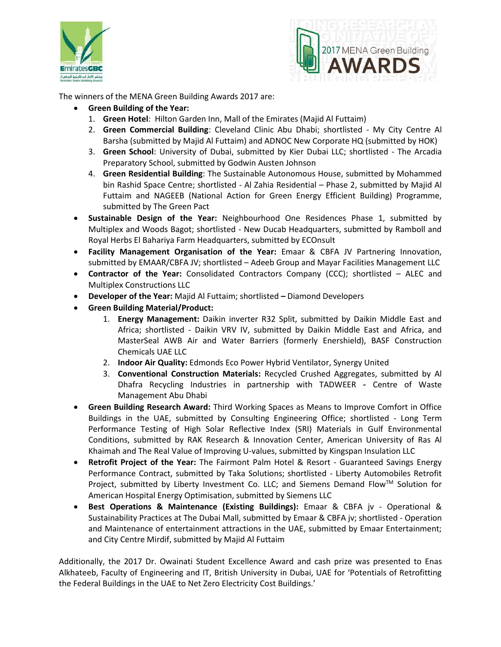



The winners of the MENA Green Building Awards 2017 are:

- **Green Building of the Year:** 
	- 1. **Green Hotel**: Hilton Garden Inn, Mall of the Emirates (Majid Al Futtaim)
	- 2. **Green Commercial Building**: Cleveland Clinic Abu Dhabi; shortlisted My City Centre Al Barsha (submitted by Majid Al Futtaim) and ADNOC New Corporate HQ (submitted by HOK)
	- 3. **Green School**: University of Dubai, submitted by Kier Dubai LLC; shortlisted The Arcadia Preparatory School, submitted by Godwin Austen Johnson
	- 4. **Green Residential Building**: The Sustainable Autonomous House, submitted by Mohammed bin Rashid Space Centre; shortlisted - Al Zahia Residential – Phase 2, submitted by Majid Al Futtaim and NAGEEB (National Action for Green Energy Efficient Building) Programme, submitted by The Green Pact
- **Sustainable Design of the Year:** Neighbourhood One Residences Phase 1, submitted by Multiplex and Woods Bagot; shortlisted - New Ducab Headquarters, submitted by Ramboll and Royal Herbs El Bahariya Farm Headquarters, submitted by ECOnsult
- **Facility Management Organisation of the Year:** Emaar & CBFA JV Partnering Innovation, submitted by EMAAR/CBFA JV; shortlisted – Adeeb Group and Mayar Facilities Management LLC
- **Contractor of the Year:** Consolidated Contractors Company (CCC); shortlisted ALEC and Multiplex Constructions LLC
- **Developer of the Year:** Majid Al Futtaim; shortlisted **–** Diamond Developers
- **Green Building Material/Product:** 
	- 1. **Energy Management:** Daikin inverter R32 Split, submitted by Daikin Middle East and Africa; shortlisted - Daikin VRV IV, submitted by Daikin Middle East and Africa, and MasterSeal AWB Air and Water Barriers (formerly Enershield), BASF Construction Chemicals UAE LLC
	- 2. **Indoor Air Quality:** Edmonds Eco Power Hybrid Ventilator, Synergy United
	- 3. **Conventional Construction Materials:** Recycled Crushed Aggregates, submitted by Al Dhafra Recycling Industries in partnership with TADWEER - Centre of Waste Management Abu Dhabi
- **Green Building Research Award:** Third Working Spaces as Means to Improve Comfort in Office Buildings in the UAE, submitted by Consulting Engineering Office; shortlisted - Long Term Performance Testing of High Solar Reflective Index (SRI) Materials in Gulf Environmental Conditions, submitted by RAK Research & Innovation Center, American University of Ras Al Khaimah and The Real Value of Improving U-values, submitted by Kingspan Insulation LLC
- **Retrofit Project of the Year:** The Fairmont Palm Hotel & Resort Guaranteed Savings Energy Performance Contract, submitted by Taka Solutions; shortlisted - Liberty Automobiles Retrofit Project, submitted by Liberty Investment Co. LLC; and Siemens Demand Flow™ Solution for American Hospital Energy Optimisation, submitted by Siemens LLC
- **Best Operations & Maintenance (Existing Buildings):** Emaar & CBFA jv Operational & Sustainability Practices at The Dubai Mall, submitted by Emaar & CBFA jv; shortlisted - Operation and Maintenance of entertainment attractions in the UAE, submitted by Emaar Entertainment; and City Centre Mirdif, submitted by Majid Al Futtaim

Additionally, the 2017 Dr. Owainati Student Excellence Award and cash prize was presented to Enas Alkhateeb, Faculty of Engineering and IT, British University in Dubai, UAE for 'Potentials of Retrofitting the Federal Buildings in the UAE to Net Zero Electricity Cost Buildings.'